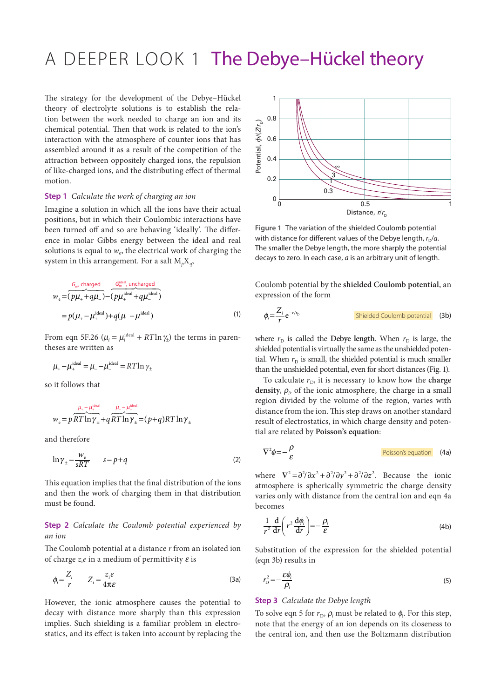# A DEEPER LOOK 1 The Debye-Hückel theory

The strategy for the development of the Debye–Hückel theory of electrolyte solutions is to establish the relation between the work needed to charge an ion and its chemical potential. Then that work is related to the ion's interaction with the atmosphere of counter ions that has assembled around it as a result of the competition of the attraction between oppositely charged ions, the repulsion of like-charged ions, and the distributing effect of thermal motion.

#### **Step 1** *Calculate the work of charging an ion*

Imagine a solution in which all the ions have their actual positions, but in which their Coulombic interactions have been turned off and so are behaving 'ideally'. The difference in molar Gibbs energy between the ideal and real solutions is equal to  $w_e$ , the electrical work of charging the system in this arrangement. For a salt  $M_pX_q$ ,

$$
w_e = \frac{G_{\text{mv}} \text{ charged}}{(p\mu_+ + q\mu_-)} - \frac{G_{\text{m}}^{\text{ideal}} \text{ uncharged}}{(p\mu_+^{\text{ideal}} + q\mu_-^{\text{ideal}})}
$$
  
=  $p(\mu_+ - \mu_+^{\text{ideal}}) + q(\mu_- - \mu_-^{\text{ideal}})$  (1)

From eqn 5F.26 ( $\mu_i = \mu_i^{\text{ideal}} + RT \ln \gamma_t$ ) the terms in parentheses are written as

$$
\mu_{+} - \mu_{+}^{\text{ideal}} = \mu_{-} - \mu_{-}^{\text{ideal}} = RT \ln \gamma_{\pm}
$$

so it follows that

$$
w_e = p \frac{\mu_* - \mu_*^{\text{ideal}}}{RT \ln \gamma_{\pm}} + q \frac{\mu_- - \mu_*^{\text{ideal}}}{RT \ln \gamma_{\pm}} = (p+q) RT \ln \gamma_{\pm}
$$

and therefore

$$
\ln \gamma_{\pm} = \frac{w_{\rm e}}{sRT} \qquad s = p + q \tag{2}
$$

This equation implies that the final distribution of the ions and then the work of charging them in that distribution must be found.

### **Step 2** *Calculate the Coulomb potential experienced by an ion*

The Coulomb potential at a distance *r* from an isolated ion of charge  $z_i e$  in a medium of permittivity  $\varepsilon$  is

$$
\phi_i = \frac{Z_i}{r} \qquad Z_i = \frac{z_i e}{4\pi \varepsilon} \tag{3a}
$$

However, the ionic atmosphere causes the potential to decay with distance more sharply than this expression implies. Such shielding is a familiar problem in electrostatics, and its effect is taken into account by replacing the



**Figure 1** The variation of the shielded Coulomb potential with distance for different values of the Debye length,  $r_D/a$ . The smaller the Debye length, the more sharply the potential decays to zero. In each case, *a* is an arbitrary unit of length.

Coulomb potential by the **shielded Coulomb potential**, an expression of the form

$$
\phi_i = \frac{Z_i}{r} e^{-r/r_D}
$$
 **Shielded Coulomb potential** (3b)

where  $r_D$  is called the **Debye length**. When  $r_D$  is large, the shielded potential is virtually the same as the unshielded potential. When  $r<sub>D</sub>$  is small, the shielded potential is much smaller than the unshielded potential, even for short distances (Fig. 1).

To calculate  $r<sub>D</sub>$ , it is necessary to know how the **charge** density,  $\rho$ <sub>i</sub>, of the ionic atmosphere, the charge in a small region divided by the volume of the region, varies with distance from the ion. This step draws on another standard result of electrostatics, in which charge density and potential are related by **Poisson's equation**:

$$
\nabla^2 \phi = -\frac{\rho}{\varepsilon}
$$
 (4a)

where  $\nabla^2 = \frac{\partial^2}{\partial x^2} + \frac{\partial^2}{\partial y^2} + \frac{\partial^2}{\partial z^2}$ . Because the ionic atmosphere is spherically symmetric the charge density varies only with distance from the central ion and eqn 4a becomes

$$
\frac{1}{r^2}\frac{d}{dr}\left(r^2\frac{d\phi_i}{dr}\right) = -\frac{\rho_i}{\varepsilon}
$$
\n(4b)

Substitution of the expression for the shielded potential (eqn 3b) results in

$$
r_{\rm D}^2 = -\frac{\varepsilon \phi_i}{\rho_i} \tag{5}
$$

#### **Step 3** *Calculate the Debye length*

To solve eqn 5 for  $r_{\rm D}$ ,  $\rho_i$  must be related to  $\phi_i$ . For this step, note that the energy of an ion depends on its closeness to the central ion, and then use the Boltzmann distribution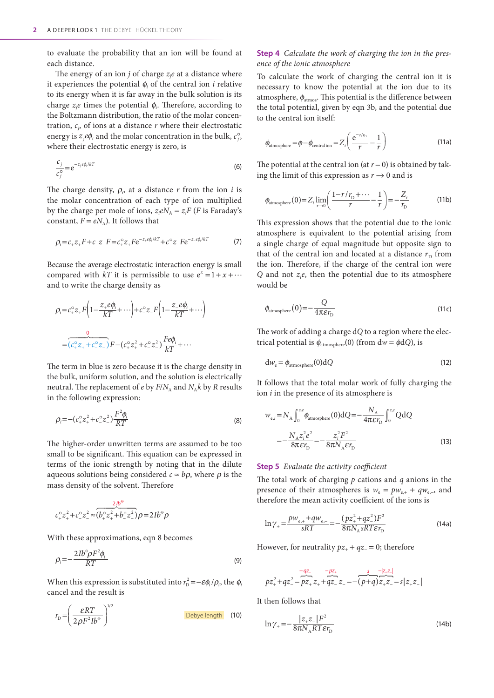to evaluate the probability that an ion will be found at each distance.

The energy of an ion  $j$  of charge  $z_j e$  at a distance where it experiences the potential  $\phi_i$  of the central ion *i* relative to its energy when it is far away in the bulk solution is its charge *zj e* times the potential ϕ*<sup>i</sup>* . Therefore, according to the Boltzmann distribution, the ratio of the molar concentration, *cj* , of ions at a distance *r* where their electrostatic energy is  $z_i e \phi_i$  and the molar concentration in the bulk,  $c_i^{\circ}$ , where their electrostatic energy is zero, is

$$
\frac{c_j}{c_j^{\circ}} = e^{-z_j e \phi_i / kT}
$$
 (6)

The charge density,  $\rho_i$ , at a distance *r* from the ion *i* is the molar concentration of each type of ion multiplied by the charge per mole of ions,  $z_i e N_A = z_i F$  (*F* is Faraday's constant,  $F = eN_A$ ). It follows that

$$
\rho_i = c_+ z_+ F + c_- z_- F = c_+^{\circ} z_+ F e^{-z_+ e \phi_i / kT} + c_-^{\circ} z_- F e^{-z_- e \phi_i / kT}
$$
(7)

Because the average electrostatic interaction energy is small compared with *kT* it is permissible to use  $e^{x} = 1 + x + \cdots$ and to write the charge density as

$$
\rho_i = c_+^{\circ} z_+ F \left( 1 - \frac{z_+ e \phi_i}{kT} + \cdots \right) + c_-^{\circ} z_- F \left( 1 - \frac{z_- e \phi_i}{kT} + \cdots \right)
$$
  
= 
$$
\underbrace{\phi}_{(c_+^{\circ} z_+ + c_-^{\circ} z_-)} F - (c_+^{\circ} z_+^2 + c_-^{\circ} z_-^2) \frac{F e \phi_i}{kT} + \cdots
$$

The term in blue is zero because it is the charge density in the bulk, uniform solution, and the solution is electrically neutral. The replacement of *e* by  $F/N_A$  and  $N_A k$  by *R* results in the following expression:

$$
\rho_i = -(c_+^{\circ} z_+^2 + c_-^{\circ} z_-^2) \frac{F^2 \phi_i}{RT}
$$
\n(8)

The higher-order unwritten terms are assumed to be too small to be significant. This equation can be expressed in terms of the ionic strength by noting that in the dilute aqueous solutions being considered  $c \approx b\rho$ , where  $\rho$  is the mass density of the solvent. Therefore

$$
c_{+}^{\circ}z_{+}^{2}+c_{-}^{\circ}z_{-}^{2}\approx\frac{2/b^{6}}{(b_{+}^{\circ}z_{+}^{2}+b_{-}^{\circ}z_{-}^{2})}\rho=2Ib^{6}\rho
$$

With these approximations, eqn 8 becomes

$$
\rho_i = -\frac{2Ib^{\circ}\rho F^2\phi_i}{RT} \tag{9}
$$

When this expression is substituted into  $r_{\rm D}^2 = -\varepsilon \phi_i/\rho_i$ , the  $\phi_i$ cancel and the result is

$$
r_{\rm D} = \left(\frac{\mathcal{E}RT}{2\rho F^2 I b^{\circ}}\right)^{1/2}
$$
 Debye length (10)

## **Step 4** *Calculate the work of charging the ion in the presence of the ionic atmosphere*

To calculate the work of charging the central ion it is necessary to know the potential at the ion due to its atmosphere,  $\phi_{\text{atmos}}$ . This potential is the difference between the total potential, given by eqn 3b, and the potential due to the central ion itself:

$$
\phi_{\text{atmosphere}} = \phi - \phi_{\text{central ion}} = Z_i \left( \frac{e^{-r/r_{\text{D}}}}{r} - \frac{1}{r} \right)
$$
\n(11a)

The potential at the central ion (at  $r = 0$ ) is obtained by taking the limit of this expression as  $r \rightarrow 0$  and is

$$
\phi_{\text{atmosphere}}(0) = Z_i \lim_{r \to 0} \left( \frac{1 - r/r_{\text{D}} + \dots}{r} - \frac{1}{r} \right) = -\frac{Z_i}{r_{\text{D}}}
$$
(11b)

This expression shows that the potential due to the ionic atmosphere is equivalent to the potential arising from a single charge of equal magnitude but opposite sign to that of the central ion and located at a distance  $r<sub>D</sub>$  from the ion. Therefore, if the charge of the central ion were *Q* and not *zi e*, then the potential due to its atmosphere would be

$$
\phi_{\text{atmosphere}}(0) = -\frac{Q}{4\pi\epsilon r_{\text{D}}}
$$
\n(11c)

The work of adding a charge d*Q* to a region where the electrical potential is  $\phi_{\text{atmosphere}}(0)$  (from  $dw = \phi dQ$ ), is

$$
dw_e = \phi_{\text{atmosphere}}(0)dQ
$$
 (12)

It follows that the total molar work of fully charging the ion *i* in the presence of its atmosphere is

$$
w_{e,i} = N_A \int_0^{z,e} \phi_{\text{atmosphere}}(0) \, \mathrm{d}Q = -\frac{N_A}{4\pi \varepsilon r_D} \int_0^{z,e} \mathrm{Q} \, \mathrm{d}Q
$$
\n
$$
= -\frac{N_A z_i^2 e^2}{8\pi \varepsilon r_D} = -\frac{z_i^2 F^2}{8\pi N_A \varepsilon r_D} \tag{13}
$$

#### **Step 5** *Evaluate the activity coefficient*

The total work of charging *p* cations and *q* anions in the presence of their atmospheres is  $w_e = pw_{e+} + qw_{e-}$ , and therefore the mean activity coefficient of the ions is

$$
\ln \gamma_{\pm} = \frac{p w_{e,+} + q w_{e,-}}{sRT} = -\frac{(pz_{+}^{2} + qz_{-}^{2})F^{2}}{8\pi N_{A}sRT\varepsilon r_{D}}
$$
(14a)

However, for neutrality  $pz_{+} + qz_{-} = 0$ ; therefore

$$
pz_{+}^{2}+qz_{-}^{2}=\overbrace{pz_{+}}^{-qz_{-}}z_{+}+\overbrace{qz_{-}}^{-pz_{+}}z_{-}=-\overbrace{(p+q)z_{+}z_{-}}^{s}=\langle z_{+}z_{-}|
$$

It then follows that

$$
\ln \gamma_{\pm} = -\frac{|z_{+}z_{-}|F^2}{8\pi N_{A}RT\varepsilon r_{D}}
$$
 (14b)